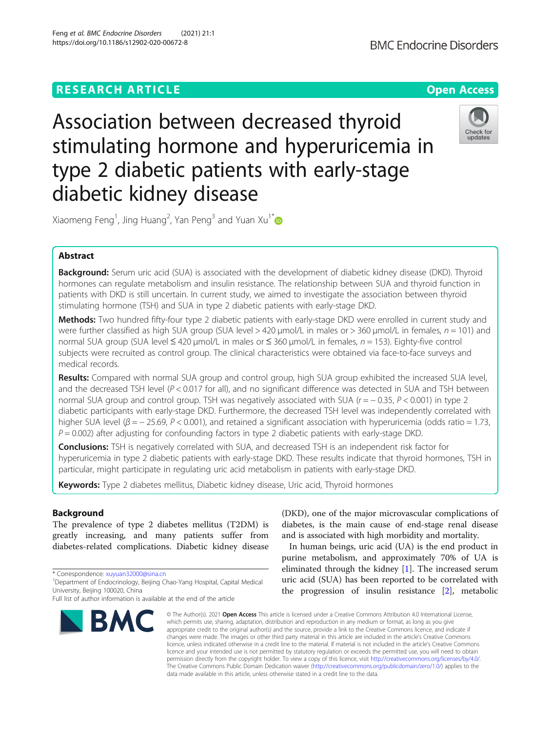## **RESEARCH ARTICLE Example 2014 12:30 The Contract of Contract ACCESS**

# Association between decreased thyroid stimulating hormone and hyperuricemia in type 2 diabetic patients with early-stage diabetic kidney disease



Xiaomeng Feng<sup>1</sup>, Jing Huang<sup>2</sup>, Yan Peng<sup>3</sup> and Yuan Xu<sup>1\*</sup>

## Abstract

**Background:** Serum uric acid (SUA) is associated with the development of diabetic kidney disease (DKD). Thyroid hormones can regulate metabolism and insulin resistance. The relationship between SUA and thyroid function in patients with DKD is still uncertain. In current study, we aimed to investigate the association between thyroid stimulating hormone (TSH) and SUA in type 2 diabetic patients with early-stage DKD.

Methods: Two hundred fifty-four type 2 diabetic patients with early-stage DKD were enrolled in current study and were further classified as high SUA group (SUA level > 420  $\mu$ mol/L in males or > 360  $\mu$ mol/L in females,  $n = 101$ ) and normal SUA group (SUA level ≤ 420 μmol/L in males or ≤ 360 μmol/L in females, n = 153). Eighty-five control subjects were recruited as control group. The clinical characteristics were obtained via face-to-face surveys and medical records.

Results: Compared with normal SUA group and control group, high SUA group exhibited the increased SUA level, and the decreased TSH level ( $P < 0.017$  for all), and no significant difference was detected in SUA and TSH between normal SUA group and control group. TSH was negatively associated with SUA (r = − 0.35, P < 0.001) in type 2 diabetic participants with early-stage DKD. Furthermore, the decreased TSH level was independently correlated with higher SUA level ( $\beta = -25.69$ , P < 0.001), and retained a significant association with hyperuricemia (odds ratio = 1.73,  $P = 0.002$ ) after adjusting for confounding factors in type 2 diabetic patients with early-stage DKD.

**Conclusions:** TSH is negatively correlated with SUA, and decreased TSH is an independent risk factor for hyperuricemia in type 2 diabetic patients with early-stage DKD. These results indicate that thyroid hormones, TSH in particular, might participate in regulating uric acid metabolism in patients with early-stage DKD.

Keywords: Type 2 diabetes mellitus, Diabetic kidney disease, Uric acid, Thyroid hormones

## Background

The prevalence of type 2 diabetes mellitus (T2DM) is greatly increasing, and many patients suffer from diabetes-related complications. Diabetic kidney disease

\* Correspondence: [xuyuan32000@sina.cn](mailto:xuyuan32000@sina.cn) <sup>1</sup>

Full list of author information is available at the end of the article



(DKD), one of the major microvascular complications of diabetes, is the main cause of end-stage renal disease and is associated with high morbidity and mortality.

In human beings, uric acid (UA) is the end product in purine metabolism, and approximately 70% of UA is eliminated through the kidney [[1\]](#page-6-0). The increased serum uric acid (SUA) has been reported to be correlated with the progression of insulin resistance [\[2\]](#page-6-0), metabolic

© The Author(s), 2021 **Open Access** This article is licensed under a Creative Commons Attribution 4.0 International License, which permits use, sharing, adaptation, distribution and reproduction in any medium or format, as long as you give appropriate credit to the original author(s) and the source, provide a link to the Creative Commons licence, and indicate if changes were made. The images or other third party material in this article are included in the article's Creative Commons licence, unless indicated otherwise in a credit line to the material. If material is not included in the article's Creative Commons licence and your intended use is not permitted by statutory regulation or exceeds the permitted use, you will need to obtain permission directly from the copyright holder. To view a copy of this licence, visit [http://creativecommons.org/licenses/by/4.0/.](http://creativecommons.org/licenses/by/4.0/) The Creative Commons Public Domain Dedication waiver [\(http://creativecommons.org/publicdomain/zero/1.0/](http://creativecommons.org/publicdomain/zero/1.0/)) applies to the data made available in this article, unless otherwise stated in a credit line to the data.

<sup>&</sup>lt;sup>1</sup> Department of Endocrinology, Beijing Chao-Yang Hospital, Capital Medical University, Beijing 100020, China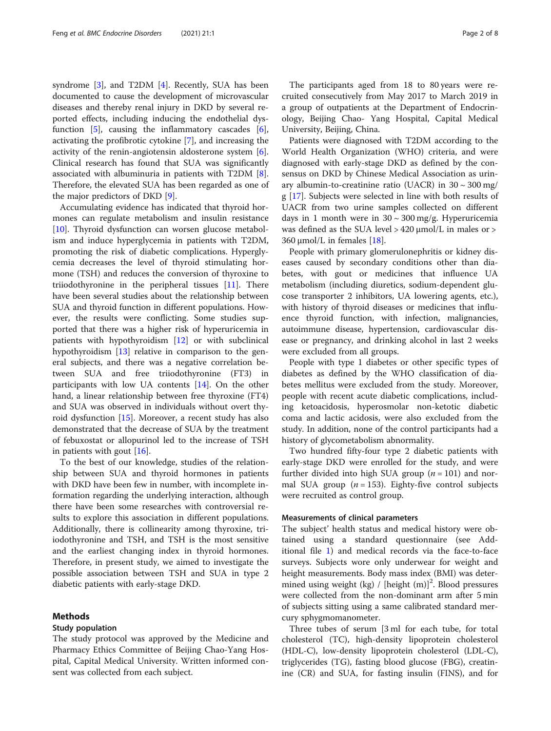syndrome [\[3](#page-6-0)], and T2DM [[4\]](#page-6-0). Recently, SUA has been documented to cause the development of microvascular diseases and thereby renal injury in DKD by several reported effects, including inducing the endothelial dysfunction [[5\]](#page-6-0), causing the inflammatory cascades [\[6](#page-6-0)], activating the profibrotic cytokine [[7\]](#page-6-0), and increasing the activity of the renin-angiotensin aldosterone system [\[6](#page-6-0)]. Clinical research has found that SUA was significantly associated with albuminuria in patients with T2DM [\[8](#page-6-0)]. Therefore, the elevated SUA has been regarded as one of the major predictors of DKD [\[9](#page-6-0)].

Accumulating evidence has indicated that thyroid hormones can regulate metabolism and insulin resistance [[10\]](#page-7-0). Thyroid dysfunction can worsen glucose metabolism and induce hyperglycemia in patients with T2DM, promoting the risk of diabetic complications. Hyperglycemia decreases the level of thyroid stimulating hormone (TSH) and reduces the conversion of thyroxine to triiodothyronine in the peripheral tissues [\[11](#page-7-0)]. There have been several studies about the relationship between SUA and thyroid function in different populations. However, the results were conflicting. Some studies supported that there was a higher risk of hyperuricemia in patients with hypothyroidism [[12\]](#page-7-0) or with subclinical hypothyroidism [[13\]](#page-7-0) relative in comparison to the general subjects, and there was a negative correlation between SUA and free triiodothyronine (FT3) in participants with low UA contents [\[14](#page-7-0)]. On the other hand, a linear relationship between free thyroxine (FT4) and SUA was observed in individuals without overt thyroid dysfunction [\[15\]](#page-7-0). Moreover, a recent study has also demonstrated that the decrease of SUA by the treatment of febuxostat or allopurinol led to the increase of TSH in patients with gout [[16\]](#page-7-0).

To the best of our knowledge, studies of the relationship between SUA and thyroid hormones in patients with DKD have been few in number, with incomplete information regarding the underlying interaction, although there have been some researches with controversial results to explore this association in different populations. Additionally, there is collinearity among thyroxine, triiodothyronine and TSH, and TSH is the most sensitive and the earliest changing index in thyroid hormones. Therefore, in present study, we aimed to investigate the possible association between TSH and SUA in type 2 diabetic patients with early-stage DKD.

#### Methods

#### Study population

The study protocol was approved by the Medicine and Pharmacy Ethics Committee of Beijing Chao-Yang Hospital, Capital Medical University. Written informed consent was collected from each subject.

The participants aged from 18 to 80 years were recruited consecutively from May 2017 to March 2019 in a group of outpatients at the Department of Endocrinology, Beijing Chao- Yang Hospital, Capital Medical University, Beijing, China.

Patients were diagnosed with T2DM according to the World Health Organization (WHO) criteria, and were diagnosed with early-stage DKD as defined by the consensus on DKD by Chinese Medical Association as urinary albumin-to-creatinine ratio (UACR) in  $30 \sim 300$  mg/ g [[17\]](#page-7-0). Subjects were selected in line with both results of UACR from two urine samples collected on different days in 1 month were in  $30 \sim 300$  mg/g. Hyperuricemia was defined as the SUA level  $> 420$   $\mu$ mol/L in males or  $>$ 360  $\mu$ mol/L in females [\[18](#page-7-0)].

People with primary glomerulonephritis or kidney diseases caused by secondary conditions other than diabetes, with gout or medicines that influence UA metabolism (including diuretics, sodium-dependent glucose transporter 2 inhibitors, UA lowering agents, etc.), with history of thyroid diseases or medicines that influence thyroid function, with infection, malignancies, autoimmune disease, hypertension, cardiovascular disease or pregnancy, and drinking alcohol in last 2 weeks were excluded from all groups.

People with type 1 diabetes or other specific types of diabetes as defined by the WHO classification of diabetes mellitus were excluded from the study. Moreover, people with recent acute diabetic complications, including ketoacidosis, hyperosmolar non-ketotic diabetic coma and lactic acidosis, were also excluded from the study. In addition, none of the control participants had a history of glycometabolism abnormality.

Two hundred fifty-four type 2 diabetic patients with early-stage DKD were enrolled for the study, and were further divided into high SUA group ( $n = 101$ ) and normal SUA group ( $n = 153$ ). Eighty-five control subjects were recruited as control group.

#### Measurements of clinical parameters

The subject' health status and medical history were obtained using a standard questionnaire (see Additional file [1](#page-6-0)) and medical records via the face-to-face surveys. Subjects wore only underwear for weight and height measurements. Body mass index (BMI) was determined using weight (kg) / [height  $(m)]^2$ . Blood pressures were collected from the non-dominant arm after 5 min of subjects sitting using a same calibrated standard mercury sphygmomanometer.

Three tubes of serum [3 ml for each tube, for total cholesterol (TC), high-density lipoprotein cholesterol (HDL-C), low-density lipoprotein cholesterol (LDL-C), triglycerides (TG), fasting blood glucose (FBG), creatinine (CR) and SUA, for fasting insulin (FINS), and for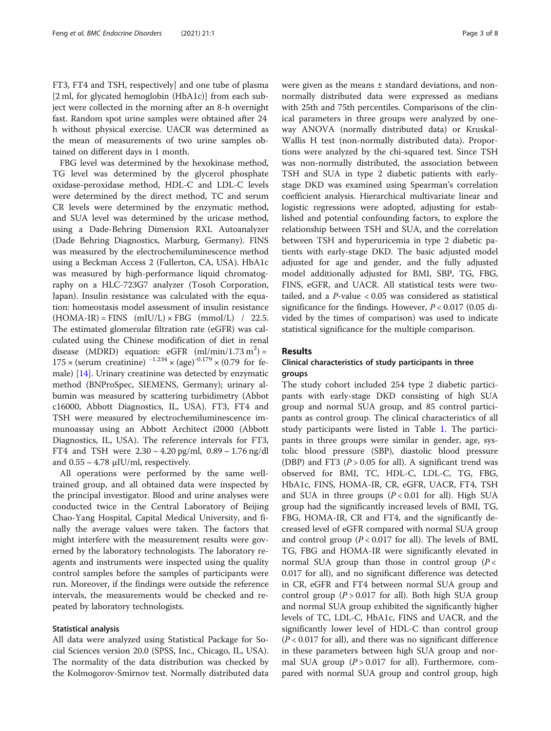FT3, FT4 and TSH, respectively] and one tube of plasma [2 ml, for glycated hemoglobin (HbA1c)] from each subject were collected in the morning after an 8-h overnight fast. Random spot urine samples were obtained after 24 h without physical exercise. UACR was determined as the mean of measurements of two urine samples obtained on different days in 1 month.

FBG level was determined by the hexokinase method, TG level was determined by the glycerol phosphate oxidase-peroxidase method, HDL-C and LDL-C levels were determined by the direct method, TC and serum CR levels were determined by the enzymatic method, and SUA level was determined by the uricase method, using a Dade-Behring Dimension RXL Autoanalyzer (Dade Behring Diagnostics, Marburg, Germany). FINS was measured by the electrochemiluminescence method using a Beckman Access 2 (Fullerton, CA, USA). HbA1c was measured by high-performance liquid chromatography on a HLC-723G7 analyzer (Tosoh Corporation, Japan). Insulin resistance was calculated with the equation: homeostasis model assessment of insulin resistance  $(HOMA-IR) = FINS$  (mIU/L)  $\times FBG$  (mmol/L) / 22.5. The estimated glomerular filtration rate (eGFR) was calculated using the Chinese modification of diet in renal disease (MDRD) equation: eGFR  $(ml/min/1.73 m<sup>2</sup>)$  =  $175 \times$  (serum creatinine)  $1234 \times (age)^{-0.179} \times (0.79$  for female) [[14](#page-7-0)]. Urinary creatinine was detected by enzymatic method (BNProSpec, SIEMENS, Germany); urinary albumin was measured by scattering turbidimetry (Abbot c16000, Abbott Diagnostics, IL, USA). FT3, FT4 and TSH were measured by electrochemiluminescence immunoassay using an Abbott Architect i2000 (Abbott Diagnostics, IL, USA). The reference intervals for FT3, FT4 and TSH were  $2.30 \sim 4.20$  pg/ml,  $0.89 \sim 1.76$  ng/dl and  $0.55 \sim 4.78$   $\mu$ IU/ml, respectively.

All operations were performed by the same welltrained group, and all obtained data were inspected by the principal investigator. Blood and urine analyses were conducted twice in the Central Laboratory of Beijing Chao-Yang Hospital, Capital Medical University, and finally the average values were taken. The factors that might interfere with the measurement results were governed by the laboratory technologists. The laboratory reagents and instruments were inspected using the quality control samples before the samples of participants were run. Moreover, if the findings were outside the reference intervals, the measurements would be checked and repeated by laboratory technologists.

#### Statistical analysis

All data were analyzed using Statistical Package for Social Sciences version 20.0 (SPSS, Inc., Chicago, IL, USA). The normality of the data distribution was checked by the Kolmogorov-Smirnov test. Normally distributed data were given as the means ± standard deviations, and nonnormally distributed data were expressed as medians with 25th and 75th percentiles. Comparisons of the clinical parameters in three groups were analyzed by oneway ANOVA (normally distributed data) or Kruskal-Wallis H test (non-normally distributed data). Proportions were analyzed by the chi-squared test. Since TSH was non-normally distributed, the association between TSH and SUA in type 2 diabetic patients with earlystage DKD was examined using Spearman's correlation coefficient analysis. Hierarchical multivariate linear and logistic regressions were adopted, adjusting for established and potential confounding factors, to explore the relationship between TSH and SUA, and the correlation between TSH and hyperuricemia in type 2 diabetic patients with early-stage DKD. The basic adjusted model adjusted for age and gender, and the fully adjusted model additionally adjusted for BMI, SBP, TG, FBG, FINS, eGFR, and UACR. All statistical tests were twotailed, and a  $P$ -value < 0.05 was considered as statistical significance for the findings. However,  $P < 0.017$  (0.05 divided by the times of comparison) was used to indicate statistical significance for the multiple comparison.

## Results

## Clinical characteristics of study participants in three groups

The study cohort included 254 type 2 diabetic participants with early-stage DKD consisting of high SUA group and normal SUA group, and 85 control participants as control group. The clinical characteristics of all study participants were listed in Table [1.](#page-3-0) The participants in three groups were similar in gender, age, systolic blood pressure (SBP), diastolic blood pressure (DBP) and FT3 ( $P > 0.05$  for all). A significant trend was observed for BMI, TC, HDL-C, LDL-C, TG, FBG, HbA1c, FINS, HOMA-IR, CR, eGFR, UACR, FT4, TSH and SUA in three groups  $(P < 0.01$  for all). High SUA group had the significantly increased levels of BMI, TG, FBG, HOMA-IR, CR and FT4, and the significantly decreased level of eGFR compared with normal SUA group and control group  $(P < 0.017$  for all). The levels of BMI, TG, FBG and HOMA-IR were significantly elevated in normal SUA group than those in control group  $(P <$ 0.017 for all), and no significant difference was detected in CR, eGFR and FT4 between normal SUA group and control group  $(P > 0.017$  for all). Both high SUA group and normal SUA group exhibited the significantly higher levels of TC, LDL-C, HbA1c, FINS and UACR, and the significantly lower level of HDL-C than control group  $(P < 0.017$  for all), and there was no significant difference in these parameters between high SUA group and normal SUA group  $(P > 0.017$  for all). Furthermore, compared with normal SUA group and control group, high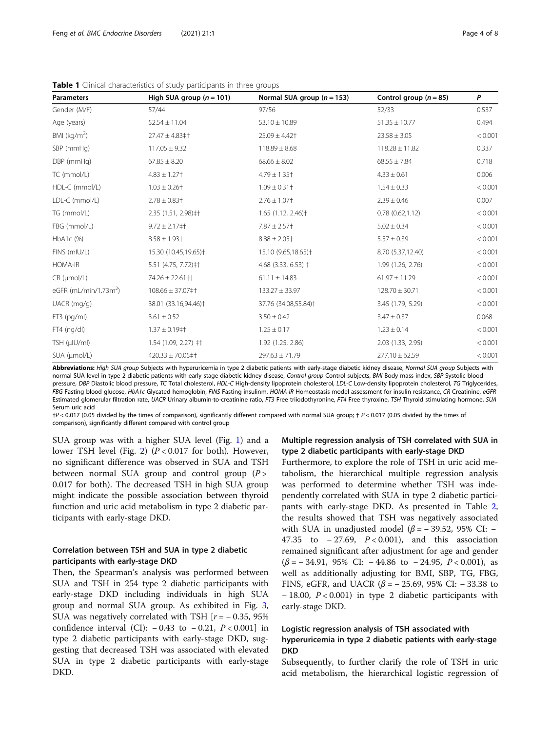| <b>Parameters</b>                 | High SUA group $(n = 101)$       | Normal SUA group $(n = 153)$     | Control group $(n = 85)$ | P       |
|-----------------------------------|----------------------------------|----------------------------------|--------------------------|---------|
| Gender (M/F)                      | 57/44                            | 97/56                            | 52/33                    | 0.537   |
| Age (years)                       | $52.54 \pm 11.04$                | $53.10 \pm 10.89$                | $51.35 \pm 10.77$        | 0.494   |
| BMI ( $kg/m2$ )                   | $27.47 \pm 4.83 \pm 1$           | $25.09 \pm 4.42$                 | $23.58 \pm 3.05$         | < 0.001 |
| SBP (mmHg)                        | $117.05 \pm 9.32$                | $118.89 \pm 8.68$                | $118.28 \pm 11.82$       | 0.337   |
| DBP (mmHg)                        | $67.85 \pm 8.20$                 | $68.66 \pm 8.02$                 | $68.55 \pm 7.84$         | 0.718   |
| TC (mmol/L)                       | $4.83 \pm 1.27$ <sup>+</sup>     | $4.79 \pm 1.35$ <sup>+</sup>     | $4.33 \pm 0.61$          | 0.006   |
| HDL-C (mmol/L)                    | $1.03 \pm 0.26$ <sup>+</sup>     | $1.09 \pm 0.31$ †                | $1.54 \pm 0.33$          | < 0.001 |
| LDL-C (mmol/L)                    | $2.78 \pm 0.83$ <sup>+</sup>     | $2.76 \pm 1.07$                  | $2.39 \pm 0.46$          | 0.007   |
| TG (mmol/L)                       | 2.35 (1.51, 2.98) ‡†             | $1.65$ (1.12, 2.46) <sup>+</sup> | 0.78(0.62,1.12)          | < 0.001 |
| FBG (mmol/L)                      | $9.72 \pm 2.17$ #1               | $7.87 \pm 2.57$                  | $5.02 \pm 0.34$          | < 0.001 |
| HbA1c (%)                         | $8.58 \pm 1.93$ <sup>+</sup>     | $8.88 \pm 2.05$ <sup>+</sup>     | $5.57 \pm 0.39$          | < 0.001 |
| FINS (mIU/L)                      | 15.30 (10.45,19.65) <sup>+</sup> | 15.10 (9.65,18.65) <sup>+</sup>  | 8.70 (5.37,12.40)        | < 0.001 |
| <b>HOMA-IR</b>                    | 5.51 (4.75, 7.72) $\pm$ †        | 4.68 (3.33, 6.53) $\dagger$      | 1.99 (1.26, 2.76)        | < 0.001 |
| $CR$ ( $µmol/L$ )                 | $74.26 \pm 22.61$ ‡†             | $61.11 \pm 14.83$                | $61.97 \pm 11.29$        | < 0.001 |
| eGFR (mL/min/1.73m <sup>2</sup> ) | $108.66 \pm 37.07 \pm 1$         | $133.27 \pm 33.97$               | $128.70 \pm 30.71$       | < 0.001 |
| $UACR$ (mg/g)                     | 38.01 (33.16,94.46) <sup>+</sup> | 37.76 (34.08,55.84) <sup>+</sup> | 3.45 (1.79, 5.29)        | < 0.001 |
| FT3 (pg/ml)                       | $3.61 \pm 0.52$                  | $3.50 \pm 0.42$                  | $3.47 \pm 0.37$          | 0.068   |
| FT4 (ng/dl)                       | $1.37 \pm 0.19$ ‡ <sup>+</sup>   | $1.25 \pm 0.17$                  | $1.23 \pm 0.14$          | < 0.001 |
| TSH (µIU/ml)                      | $1.54$ (1.09, 2.27) $\pm$ +      | 1.92 (1.25, 2.86)                | 2.03 (1.33, 2.95)        | < 0.001 |
| SUA (µmol/L)                      | $420.33 \pm 70.05 \pm 1$         | $297.63 \pm 71.79$               | $277.10 \pm 62.59$       | < 0.001 |

<span id="page-3-0"></span>Table 1 Clinical characteristics of study participants in three groups

Abbreviations: High SUA group Subjects with hyperuricemia in type 2 diabetic patients with early-stage diabetic kidney disease, Normal SUA group Subjects with normal SUA level in type 2 diabetic patients with early-stage diabetic kidney disease, Control group Control subjects, BMI Body mass index, SBP Systolic blood pressure, DBP Diastolic blood pressure, TC Total cholesterol, HDL-C High-density lipoprotein cholesterol, LDL-C Low-density lipoprotein cholesterol, TG Triglycerides, FBG Fasting blood glucose, HbA1c Glycated hemoglobin, FINS Fasting insulinm, HOMA-IR Homeostasis model assessment for insulin resistance, CR Creatinine, eGFR Estimated glomerular filtration rate, UACR Urinary albumin-to-creatinine ratio, FT3 Free triiodothyronine, FT4 Free thyroxine, TSH Thyroid stimulating hormone, SUA Serum uric acid

 $\frac{1}{2}P < 0.017$  (0.05 divided by the times of comparison), significantly different compared with normal SUA group;  $\frac{1}{2}P < 0.017$  (0.05 divided by the times of comparison), significantly different compared with control group

SUA group was with a higher SUA level (Fig. [1\)](#page-4-0) and a lower TSH level (Fig. [2](#page-4-0))  $(P < 0.017$  for both). However, no significant difference was observed in SUA and TSH between normal SUA group and control group  $(P >$ 0.017 for both). The decreased TSH in high SUA group might indicate the possible association between thyroid function and uric acid metabolism in type 2 diabetic participants with early-stage DKD.

## Correlation between TSH and SUA in type 2 diabetic participants with early-stage DKD

Then, the Spearman's analysis was performed between SUA and TSH in 254 type 2 diabetic participants with early-stage DKD including individuals in high SUA group and normal SUA group. As exhibited in Fig. [3](#page-4-0), SUA was negatively correlated with TSH  $[r = -0.35, 95\%]$ confidence interval (CI):  $-0.43$  to  $-0.21$ ,  $P < 0.001$ ] in type 2 diabetic participants with early-stage DKD, suggesting that decreased TSH was associated with elevated SUA in type 2 diabetic participants with early-stage DKD.

## Multiple regression analysis of TSH correlated with SUA in type 2 diabetic participants with early-stage DKD

Furthermore, to explore the role of TSH in uric acid metabolism, the hierarchical multiple regression analysis was performed to determine whether TSH was independently correlated with SUA in type 2 diabetic participants with early-stage DKD. As presented in Table [2](#page-4-0), the results showed that TSH was negatively associated with SUA in unadjusted model ( $\beta$  = − 39.52, 95% CI: − 47.35 to − 27.69, P < 0.001), and this association remained significant after adjustment for age and gender  $(\beta = -34.91, 95\% \text{ CI: } -44.86 \text{ to } -24.95, P < 0.001), \text{ as}$ well as additionally adjusting for BMI, SBP, TG, FBG, FINS, eGFR, and UACR (β = − 25.69, 95% CI: − 33.38 to − 18.00, P < 0.001) in type 2 diabetic participants with early-stage DKD.

## Logistic regression analysis of TSH associated with hyperuricemia in type 2 diabetic patients with early-stage DKD

Subsequently, to further clarify the role of TSH in uric acid metabolism, the hierarchical logistic regression of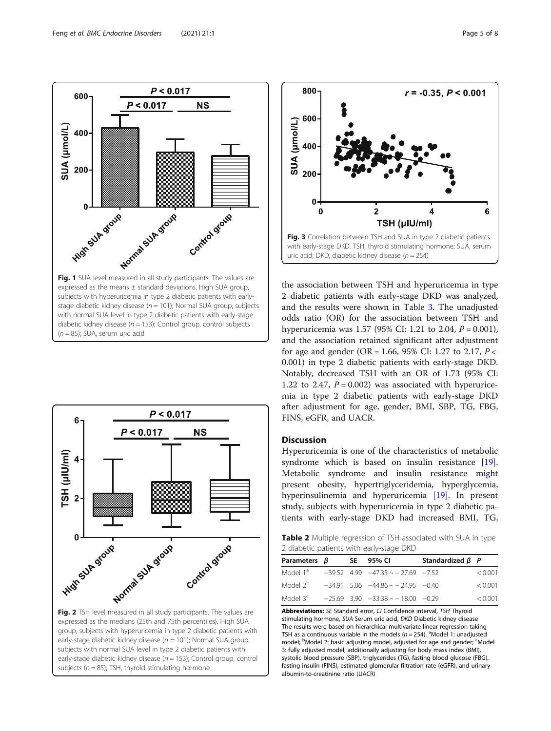<span id="page-4-0"></span>

stage diabetic kidney disease ( $n = 101$ ); Normal SUA group, subjects with normal SUA level in type 2 diabetic patients with early-stage diabetic kidney disease ( $n = 153$ ); Control group, control subjects  $(n = 85)$ ; SUA, serum uric acid



expressed as the medians (25th and 75th percentiles). High SUA group, subjects with hyperuricemia in type 2 diabetic patients with early-stage diabetic kidney disease ( $n = 101$ ); Normal SUA group, subjects with normal SUA level in type 2 diabetic patients with early-stage diabetic kidney disease ( $n = 153$ ); Control group, control subjects ( $n = 85$ ); TSH, thyroid stimulating hormone



the association between TSH and hyperuricemia in type 2 diabetic patients with early-stage DKD was analyzed, and the results were shown in Table [3.](#page-5-0) The unadjusted odds ratio (OR) for the association between TSH and hyperuricemia was 1.57 (95% CI: 1.21 to 2.04,  $P = 0.001$ ), and the association retained significant after adjustment for age and gender (OR = 1.66, 95% CI: 1.27 to 2.17,  $P \lt \sqrt{P}$ 0.001) in type 2 diabetic patients with early-stage DKD. Notably, decreased TSH with an OR of 1.73 (95% CI: 1.22 to 2.47,  $P = 0.002$ ) was associated with hyperuricemia in type 2 diabetic patients with early-stage DKD after adjustment for age, gender, BMI, SBP, TG, FBG, FINS, eGFR, and UACR.

## Discussion

Hyperuricemia is one of the characteristics of metabolic syndrome which is based on insulin resistance [\[19](#page-7-0)]. Metabolic syndrome and insulin resistance might present obesity, hypertriglyceridemia, hyperglycemia, hyperinsulinemia and hyperuricemia [\[19](#page-7-0)]. In present study, subjects with hyperuricemia in type 2 diabetic patients with early-stage DKD had increased BMI, TG,

Table 2 Multiple regression of TSH associated with SUA in type 2 diabetic patients with early-stage DKD

| Parameters $\beta$   |  |  | SE 95% CI                                  | Standardized $\beta$ P |         |  |  |
|----------------------|--|--|--------------------------------------------|------------------------|---------|--|--|
| Model 1ª             |  |  | $-39.52$ 4.99 $-47.35 \sim -27.69$ $-7.52$ |                        | < 0.001 |  |  |
| Model 2 <sup>b</sup> |  |  | $-34.91$ 5.06 $-44.86 \sim -24.95$ $-0.40$ |                        | < 0.001 |  |  |
| Model 3 <sup>c</sup> |  |  | $-25.69$ 3.90 $-33.38 \sim -18.00$ $-0.29$ |                        | < 0.001 |  |  |

Abbreviations: SE Standard error, CI Confidence interval, TSH Thyroid stimulating hormone, SUA Serum uric acid, DKD Diabetic kidney disease The results were based on hierarchical multivariate linear regression taking TSH as a continuous variable in the models ( $n = 254$ ). <sup>a</sup>Model 1: unadjusted model; <sup>b</sup>Model 2: basic adjusting model, adjusted for age and gender; <sup>c</sup>Model 3: fully adjusted model, additionally adjusting for body mass index (BMI), systolic blood pressure (SBP), triglycerides (TG), fasting blood glucose (FBG), fasting insulin (FINS), estimated glomerular filtration rate (eGFR), and urinary albumin-to-creatinine ratio (UACR)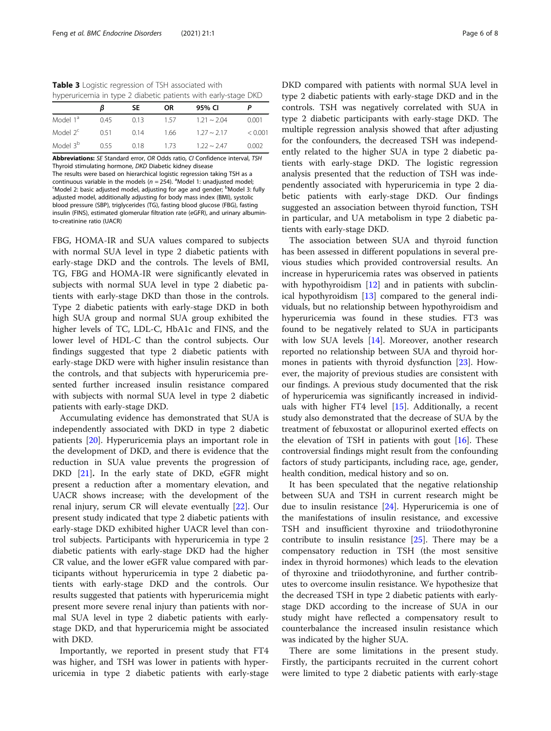<span id="page-5-0"></span>Table 3 Logistic regression of TSH associated with hyperuricemia in type 2 diabetic patients with early-stage DKD

|                      | ß    | SE   | <b>OR</b> | 95% CI            |         |
|----------------------|------|------|-----------|-------------------|---------|
| Model 1 <sup>a</sup> | 045  | 0.13 | 157       | $121 \approx 204$ | 0.001   |
| Model $2^c$          | 051  | O 14 | 1.66      | $127 \sim 217$    | < 0.001 |
| Model 3 <sup>b</sup> | 0.55 | 0.18 | 173       | $122 \sim 247$    | 0.002   |

Abbreviations: SE Standard error, OR Odds ratio, CI Confidence interval, TSH Thyroid stimulating hormone, DKD Diabetic kidney disease The results were based on hierarchical logistic regression taking TSH as a continuous variable in the models  $(n = 254)$ . <sup>a</sup> Model 1: unadjusted model;<br>SModel 2: basic adjusted model, adjusting for age and gender: <sup>b</sup> Model 3: Model 2: basic adjusted model, adjusting for age and gender; <sup>b</sup>Model 3: fully adjusted model, additionally adjusting for body mass index (BMI), systolic blood pressure (SBP), triglycerides (TG), fasting blood glucose (FBG), fasting insulin (FINS), estimated glomerular filtration rate (eGFR), and urinary albumin-

to-creatinine ratio (UACR)

FBG, HOMA-IR and SUA values compared to subjects with normal SUA level in type 2 diabetic patients with early-stage DKD and the controls. The levels of BMI, TG, FBG and HOMA-IR were significantly elevated in subjects with normal SUA level in type 2 diabetic patients with early-stage DKD than those in the controls. Type 2 diabetic patients with early-stage DKD in both high SUA group and normal SUA group exhibited the higher levels of TC, LDL-C, HbA1c and FINS, and the lower level of HDL-C than the control subjects. Our findings suggested that type 2 diabetic patients with early-stage DKD were with higher insulin resistance than the controls, and that subjects with hyperuricemia presented further increased insulin resistance compared with subjects with normal SUA level in type 2 diabetic patients with early-stage DKD.

Accumulating evidence has demonstrated that SUA is independently associated with DKD in type 2 diabetic patients [[20\]](#page-7-0). Hyperuricemia plays an important role in the development of DKD, and there is evidence that the reduction in SUA value prevents the progression of DKD [\[21\]](#page-7-0). In the early state of DKD, eGFR might present a reduction after a momentary elevation, and UACR shows increase; with the development of the renal injury, serum CR will elevate eventually [[22\]](#page-7-0). Our present study indicated that type 2 diabetic patients with early-stage DKD exhibited higher UACR level than control subjects. Participants with hyperuricemia in type 2 diabetic patients with early-stage DKD had the higher CR value, and the lower eGFR value compared with participants without hyperuricemia in type 2 diabetic patients with early-stage DKD and the controls. Our results suggested that patients with hyperuricemia might present more severe renal injury than patients with normal SUA level in type 2 diabetic patients with earlystage DKD, and that hyperuricemia might be associated with DKD.

Importantly, we reported in present study that FT4 was higher, and TSH was lower in patients with hyperuricemia in type 2 diabetic patients with early-stage DKD compared with patients with normal SUA level in type 2 diabetic patients with early-stage DKD and in the controls. TSH was negatively correlated with SUA in type 2 diabetic participants with early-stage DKD. The multiple regression analysis showed that after adjusting for the confounders, the decreased TSH was independently related to the higher SUA in type 2 diabetic patients with early-stage DKD. The logistic regression analysis presented that the reduction of TSH was independently associated with hyperuricemia in type 2 diabetic patients with early-stage DKD. Our findings suggested an association between thyroid function, TSH in particular, and UA metabolism in type 2 diabetic patients with early-stage DKD.

The association between SUA and thyroid function has been assessed in different populations in several previous studies which provided controversial results. An increase in hyperuricemia rates was observed in patients with hypothyroidism [\[12](#page-7-0)] and in patients with subclinical hypothyroidism [\[13\]](#page-7-0) compared to the general individuals, but no relationship between hypothyroidism and hyperuricemia was found in these studies. FT3 was found to be negatively related to SUA in participants with low SUA levels [\[14\]](#page-7-0). Moreover, another research reported no relationship between SUA and thyroid hormones in patients with thyroid dysfunction [[23\]](#page-7-0). However, the majority of previous studies are consistent with our findings. A previous study documented that the risk of hyperuricemia was significantly increased in individuals with higher FT4 level  $[15]$  $[15]$ . Additionally, a recent study also demonstrated that the decrease of SUA by the treatment of febuxostat or allopurinol exerted effects on the elevation of TSH in patients with gout [[16\]](#page-7-0). These controversial findings might result from the confounding factors of study participants, including race, age, gender, health condition, medical history and so on.

It has been speculated that the negative relationship between SUA and TSH in current research might be due to insulin resistance [\[24\]](#page-7-0). Hyperuricemia is one of the manifestations of insulin resistance, and excessive TSH and insufficient thyroxine and triiodothyronine contribute to insulin resistance  $[25]$  $[25]$ . There may be a compensatory reduction in TSH (the most sensitive index in thyroid hormones) which leads to the elevation of thyroxine and triiodothyronine, and further contributes to overcome insulin resistance. We hypothesize that the decreased TSH in type 2 diabetic patients with earlystage DKD according to the increase of SUA in our study might have reflected a compensatory result to counterbalance the increased insulin resistance which was indicated by the higher SUA.

There are some limitations in the present study. Firstly, the participants recruited in the current cohort were limited to type 2 diabetic patients with early-stage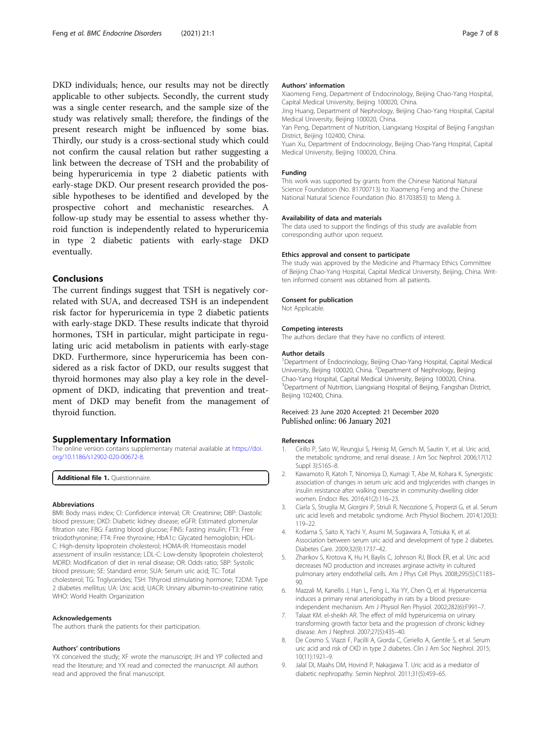<span id="page-6-0"></span>DKD individuals; hence, our results may not be directly applicable to other subjects. Secondly, the current study was a single center research, and the sample size of the study was relatively small; therefore, the findings of the present research might be influenced by some bias. Thirdly, our study is a cross-sectional study which could not confirm the causal relation but rather suggesting a link between the decrease of TSH and the probability of being hyperuricemia in type 2 diabetic patients with early-stage DKD. Our present research provided the possible hypotheses to be identified and developed by the prospective cohort and mechanistic researches. A follow-up study may be essential to assess whether thyroid function is independently related to hyperuricemia in type 2 diabetic patients with early-stage DKD eventually.

## Conclusions

The current findings suggest that TSH is negatively correlated with SUA, and decreased TSH is an independent risk factor for hyperuricemia in type 2 diabetic patients with early-stage DKD. These results indicate that thyroid hormones, TSH in particular, might participate in regulating uric acid metabolism in patients with early-stage DKD. Furthermore, since hyperuricemia has been considered as a risk factor of DKD, our results suggest that thyroid hormones may also play a key role in the development of DKD, indicating that prevention and treatment of DKD may benefit from the management of thyroid function.

#### Supplementary Information

The online version contains supplementary material available at [https://doi.](https://doi.org/10.1186/s12902-020-00672-8) [org/10.1186/s12902-020-00672-8.](https://doi.org/10.1186/s12902-020-00672-8)

Additional file 1. Questionnaire.

#### Abbreviations

BMI: Body mass index; CI: Confidence interval; CR: Creatinine; DBP: Diastolic blood pressure; DKD: Diabetic kidney disease; eGFR: Estimated glomerular filtration rate; FBG: Fasting blood glucose; FINS: Fasting insulin; FT3: Free triiodothyronine; FT4: Free thyroxine; HbA1c: Glycated hemoglobin; HDL-C: High-density lipoprotein cholesterol; HOMA-IR: Homeostasis model assessment of insulin resistance; LDL-C: Low-density lipoprotein cholesterol; MDRD: Modification of diet in renal disease; OR: Odds ratio; SBP: Systolic blood pressure; SE: Standard error; SUA: Serum uric acid; TC: Total cholesterol; TG: Triglycerides; TSH: Tthyroid stimulating hormone; T2DM: Type 2 diabetes mellitus; UA: Uric acid; UACR: Urinary albumin-to-creatinine ratio; WHO: World Health Organization

#### Acknowledgements

The authors thank the patients for their participation.

#### Authors' contributions

YX conceived the study; XF wrote the manuscript; JH and YP collected and read the literature; and YX read and corrected the manuscript. All authors read and approved the final manuscript.

#### Authors' information

Xiaomeng Feng, Department of Endocrinology, Beijing Chao-Yang Hospital, Capital Medical University, Beijing 100020, China.

Jing Huang, Department of Nephrology, Beijing Chao-Yang Hospital, Capital Medical University, Beijing 100020, China.

Yan Peng, Department of Nutrition, Liangxiang Hospital of Beijing Fangshan District, Beijing 102400, China.

Yuan Xu, Department of Endocrinology, Beijing Chao-Yang Hospital, Capital Medical University, Beijing 100020, China.

#### Funding

This work was supported by grants from the Chinese National Natural Science Foundation (No. 81700713) to Xiaomeng Feng and the Chinese National Natural Science Foundation (No. 81703853) to Meng Ji.

#### Availability of data and materials

The data used to support the findings of this study are available from corresponding author upon request.

#### Ethics approval and consent to participate

The study was approved by the Medicine and Pharmacy Ethics Committee of Beijing Chao-Yang Hospital, Capital Medical University, Beijing, China. Written informed consent was obtained from all patients.

#### Consent for publication

Not Applicable.

#### Competing interests

The authors declare that they have no conflicts of interest.

#### Author details

<sup>1</sup>Department of Endocrinology, Beijing Chao-Yang Hospital, Capital Medical University, Beijing 100020, China. <sup>2</sup>Department of Nephrology, Beijing Chao-Yang Hospital, Capital Medical University, Beijing 100020, China. <sup>3</sup>Department of Nutrition, Liangxiang Hospital of Beijing, Fangshan District, Beijing 102400, China.

## Received: 23 June 2020 Accepted: 21 December 2020 Published online: 06 January 2021

#### References

- 1. Cirillo P, Sato W, Reungjui S, Heinig M, Gersch M, Sautin Y, et al. Uric acid, the metabolic syndrome, and renal disease. J Am Soc Nephrol. 2006;17(12 Suppl 3):S165–8.
- 2. Kawamoto R, Katoh T, Ninomiya D, Kumagi T, Abe M, Kohara K. Synergistic association of changes in serum uric acid and triglycerides with changes in insulin resistance after walking exercise in community-dwelling older women. Endocr Res. 2016;41(2):116–23.
- 3. Ciarla S, Struglia M, Giorgini P, Striuli R, Necozione S, Properzi G, et al. Serum uric acid levels and metabolic syndrome. Arch Physiol Biochem. 2014;120(3): 119–22.
- 4. Kodama S, Saito K, Yachi Y, Asumi M, Sugawara A, Totsuka K, et al. Association between serum uric acid and development of type 2 diabetes. Diabetes Care. 2009;32(9):1737–42.
- 5. Zharikov S, Krotova K, Hu H, Baylis C, Johnson RJ, Block ER, et al. Uric acid decreases NO production and increases arginase activity in cultured pulmonary artery endothelial cells. Am J Phys Cell Phys. 2008;295(5):C1183– 90.
- 6. Mazzali M, Kanellis J, Han L, Feng L, Xia YY, Chen Q, et al. Hyperuricemia induces a primary renal arteriolopathy in rats by a blood pressureindependent mechanism. Am J Physiol Ren Physiol. 2002;282(6):F991–7.
- 7. Talaat KM. el-sheikh AR. The effect of mild hyperuricemia on urinary transforming growth factor beta and the progression of chronic kidney disease. Am J Nephrol. 2007;27(5):435–40.
- 8. De Cosmo S, Viazzi F, Pacilli A, Giorda C, Ceriello A, Gentile S, et al. Serum uric acid and risk of CKD in type 2 diabetes. Clin J Am Soc Nephrol. 2015; 10(11):1921–9.
- 9. Jalal DI, Maahs DM, Hovind P, Nakagawa T. Uric acid as a mediator of diabetic nephropathy. Semin Nephrol. 2011;31(5):459–65.